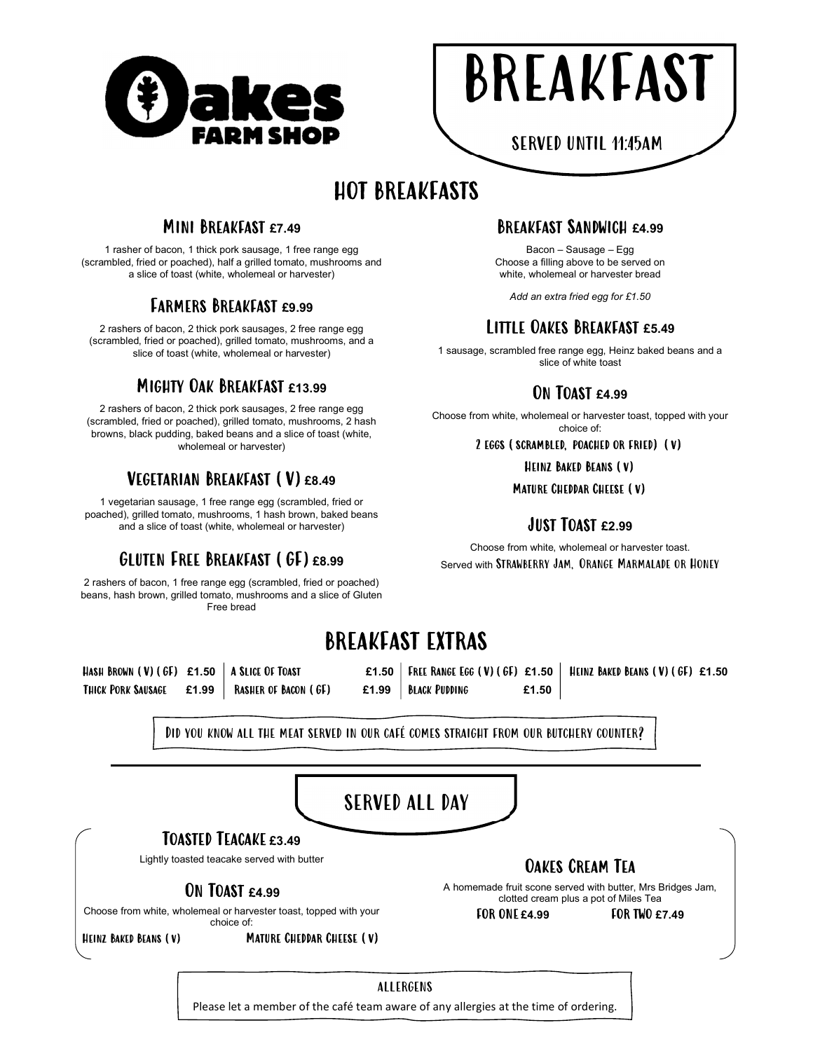

|--|

SERVED UNTIL 11:45AM

# HOT BREAKFASTS

#### Mini Breakfast £7.49

1 rasher of bacon, 1 thick pork sausage, 1 free range egg (scrambled, fried or poached), half a grilled tomato, mushrooms and a slice of toast (white, wholemeal or harvester)

## Farmers Breakfast £9.99

2 rashers of bacon, 2 thick pork sausages, 2 free range egg (scrambled, fried or poached), grilled tomato, mushrooms, and a slice of toast (white, wholemeal or harvester)

#### Mighty Oak Breakfast £13.99

2 rashers of bacon, 2 thick pork sausages, 2 free range egg (scrambled, fried or poached), grilled tomato, mushrooms, 2 hash browns, black pudding, baked beans and a slice of toast (white, wholemeal or harvester)

### VEGETARIAN BREAKFAST (V) £8.49

1 vegetarian sausage, 1 free range egg (scrambled, fried or poached), grilled tomato, mushrooms, 1 hash brown, baked beans and a slice of toast (white, wholemeal or harvester)

# GLUTEN FREE BREAKFAST (GF) £8.99

2 rashers of bacon, 1 free range egg (scrambled, fried or poached) beans, hash brown, grilled tomato, mushrooms and a slice of Gluten Free bread

#### Breakfast Sandwich £4.99

Bacon – Sausage – Egg Choose a filling above to be served on white, wholemeal or harvester bread

Add an extra fried egg for £1.50

#### Little Oakes Breakfast £5.49

1 sausage, scrambled free range egg, Heinz baked beans and a slice of white toast

#### ON TOAST £4.99

Choose from white, wholemeal or harvester toast, topped with your choice of:

#### 2 eggs (scrambled, poached or fried) (v)

Heinz Baked Beans (v)

Mature Cheddar Cheese (v)

#### Just Toast £2.99

Choose from white, wholemeal or harvester toast. Served with Strawberry Jam, Orange Marmalade or Honey

# BREAKFAST EXTRAS

Hash Brown (V)(GF) £1.50 A SLICE OF TOAST  $E1.50$  FREE RANGE EGG (V)(GF) £1.50 HEINZ BAKED BEANS (V)(GF) £1.50 Thick Pork Sausage £1.99 Rasher of Bacon (GF) £1.99 Black Pudding £1.50

Did you know all the meat served in our café comes straight from our butchery counter?



#### ALLERGENS

Please let a member of the café team aware of any allergies at the time of ordering.